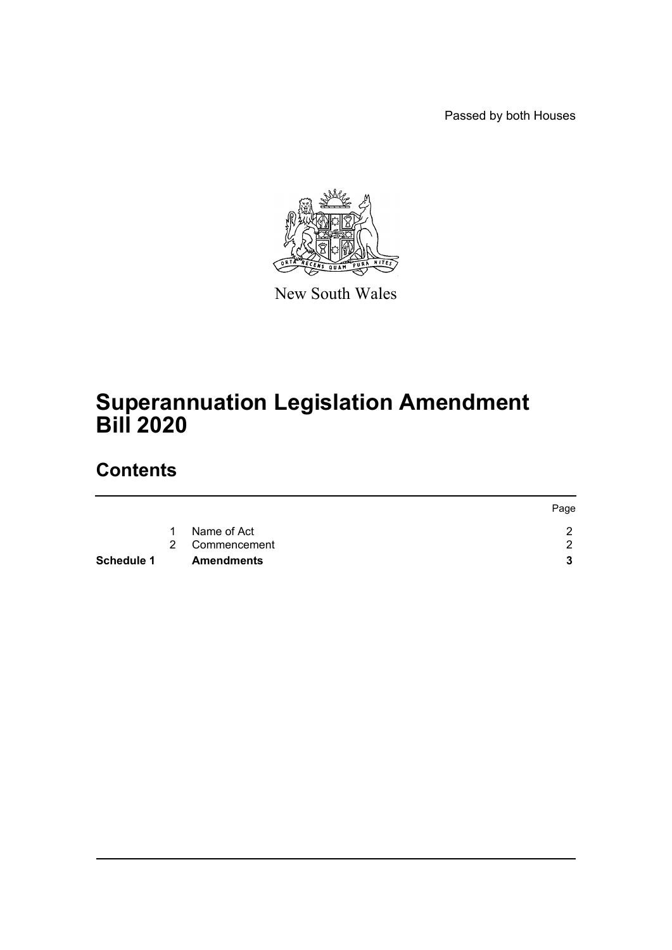Passed by both Houses



New South Wales

# **Superannuation Legislation Amendment Bill 2020**

## **Contents**

|            |    |                   | Page |
|------------|----|-------------------|------|
|            | 1. | Name of Act       |      |
|            |    | 2 Commencement    | ◠    |
| Schedule 1 |    | <b>Amendments</b> |      |
|            |    |                   |      |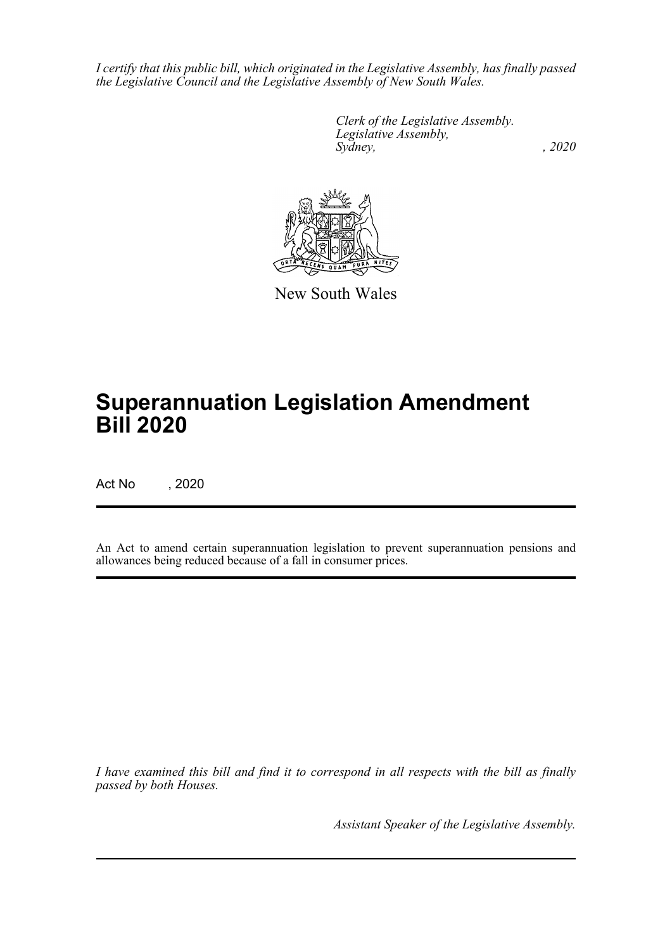*I certify that this public bill, which originated in the Legislative Assembly, has finally passed the Legislative Council and the Legislative Assembly of New South Wales.*

> *Clerk of the Legislative Assembly. Legislative Assembly, Sydney, , 2020*



New South Wales

# **Superannuation Legislation Amendment Bill 2020**

Act No , 2020

An Act to amend certain superannuation legislation to prevent superannuation pensions and allowances being reduced because of a fall in consumer prices.

*I have examined this bill and find it to correspond in all respects with the bill as finally passed by both Houses.*

*Assistant Speaker of the Legislative Assembly.*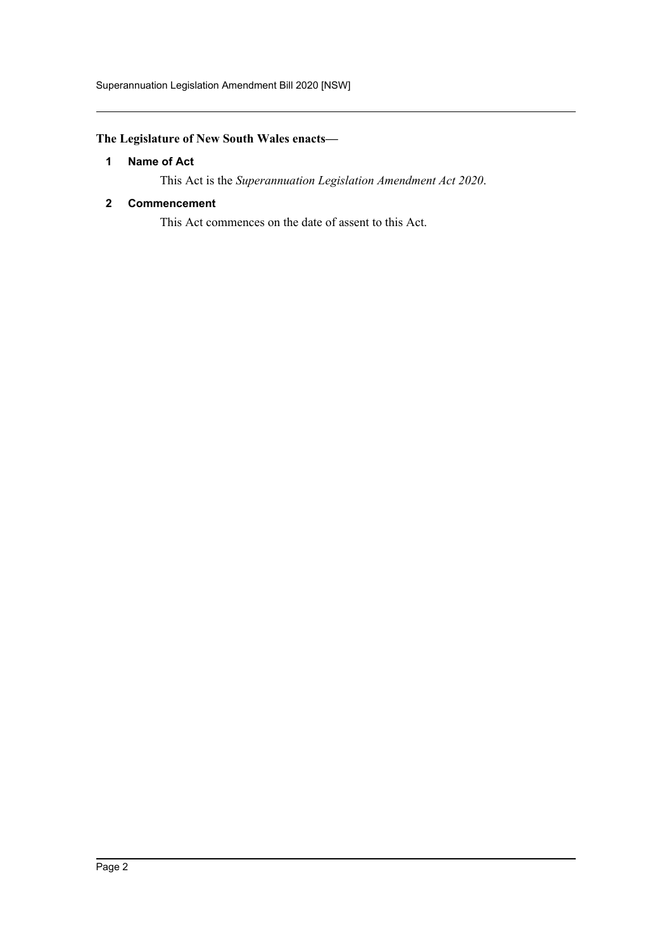## <span id="page-2-0"></span>**The Legislature of New South Wales enacts—**

### **1 Name of Act**

This Act is the *Superannuation Legislation Amendment Act 2020*.

#### <span id="page-2-1"></span>**2 Commencement**

This Act commences on the date of assent to this Act.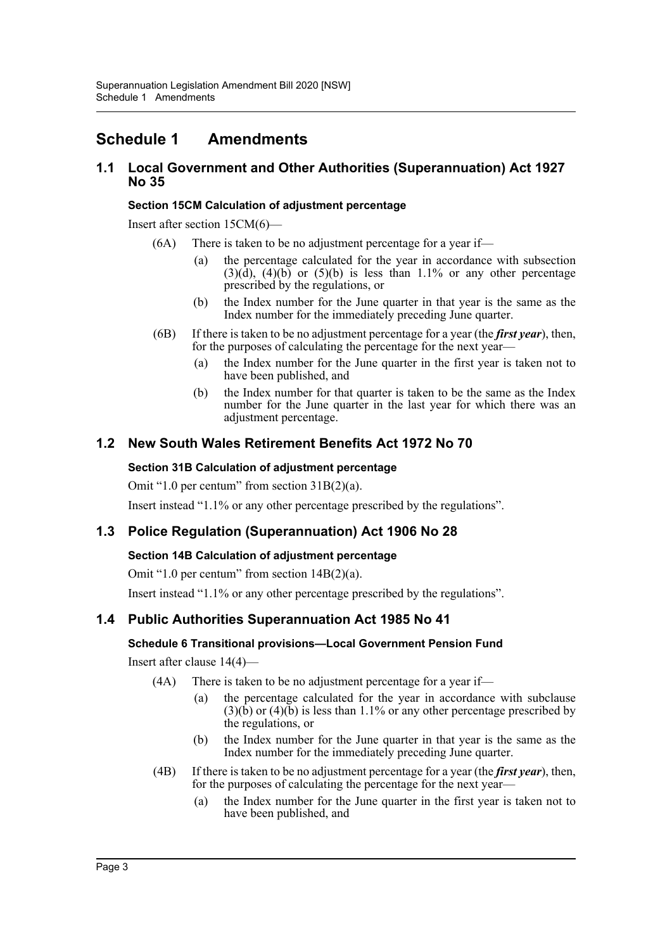## <span id="page-3-0"></span>**Schedule 1 Amendments**

### **1.1 Local Government and Other Authorities (Superannuation) Act 1927 No 35**

#### **Section 15CM Calculation of adjustment percentage**

Insert after section 15CM(6)—

- (6A) There is taken to be no adjustment percentage for a year if—
	- (a) the percentage calculated for the year in accordance with subsection  $(3)(\hat{d})$ ,  $(4)(\hat{b})$  or  $(5)(\hat{b})$  is less than 1.1% or any other percentage prescribed by the regulations, or
	- (b) the Index number for the June quarter in that year is the same as the Index number for the immediately preceding June quarter.
- (6B) If there is taken to be no adjustment percentage for a year (the *first year*), then, for the purposes of calculating the percentage for the next year—
	- (a) the Index number for the June quarter in the first year is taken not to have been published, and
	- (b) the Index number for that quarter is taken to be the same as the Index number for the June quarter in the last year for which there was an adjustment percentage.

## **1.2 New South Wales Retirement Benefits Act 1972 No 70**

#### **Section 31B Calculation of adjustment percentage**

Omit "1.0 per centum" from section 31B(2)(a).

Insert instead "1.1% or any other percentage prescribed by the regulations".

## **1.3 Police Regulation (Superannuation) Act 1906 No 28**

#### **Section 14B Calculation of adjustment percentage**

Omit "1.0 per centum" from section 14B(2)(a).

Insert instead "1.1% or any other percentage prescribed by the regulations".

## **1.4 Public Authorities Superannuation Act 1985 No 41**

#### **Schedule 6 Transitional provisions—Local Government Pension Fund**

Insert after clause 14(4)—

- (4A) There is taken to be no adjustment percentage for a year if—
	- (a) the percentage calculated for the year in accordance with subclause  $(3)(\hat{b})$  or  $(4)(\check{b})$  is less than 1.1% or any other percentage prescribed by the regulations, or
	- (b) the Index number for the June quarter in that year is the same as the Index number for the immediately preceding June quarter.
- (4B) If there is taken to be no adjustment percentage for a year (the *first year*), then, for the purposes of calculating the percentage for the next year—
	- (a) the Index number for the June quarter in the first year is taken not to have been published, and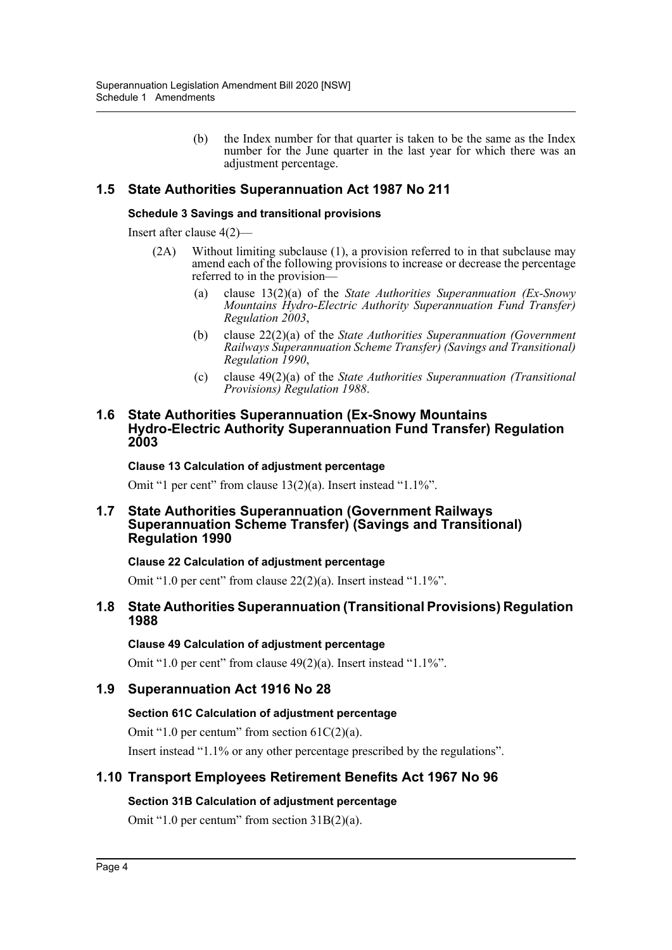(b) the Index number for that quarter is taken to be the same as the Index number for the June quarter in the last year for which there was an adjustment percentage.

## **1.5 State Authorities Superannuation Act 1987 No 211**

#### **Schedule 3 Savings and transitional provisions**

Insert after clause 4(2)—

- (2A) Without limiting subclause (1), a provision referred to in that subclause may amend each of the following provisions to increase or decrease the percentage referred to in the provision—
	- (a) clause 13(2)(a) of the *State Authorities Superannuation (Ex-Snowy Mountains Hydro-Electric Authority Superannuation Fund Transfer) Regulation 2003*,
	- (b) clause 22(2)(a) of the *State Authorities Superannuation (Government Railways Superannuation Scheme Transfer) (Savings and Transitional) Regulation 1990*,
	- (c) clause 49(2)(a) of the *State Authorities Superannuation (Transitional Provisions) Regulation 1988*.

#### **1.6 State Authorities Superannuation (Ex-Snowy Mountains Hydro-Electric Authority Superannuation Fund Transfer) Regulation 2003**

#### **Clause 13 Calculation of adjustment percentage**

Omit "1 per cent" from clause 13(2)(a). Insert instead "1.1%".

#### **1.7 State Authorities Superannuation (Government Railways Superannuation Scheme Transfer) (Savings and Transitional) Regulation 1990**

#### **Clause 22 Calculation of adjustment percentage**

Omit "1.0 per cent" from clause 22(2)(a). Insert instead "1.1%".

#### **1.8 State Authorities Superannuation (Transitional Provisions) Regulation 1988**

#### **Clause 49 Calculation of adjustment percentage**

Omit "1.0 per cent" from clause 49(2)(a). Insert instead "1.1%".

## **1.9 Superannuation Act 1916 No 28**

#### **Section 61C Calculation of adjustment percentage**

Omit "1.0 per centum" from section  $61C(2)(a)$ .

Insert instead "1.1% or any other percentage prescribed by the regulations".

## **1.10 Transport Employees Retirement Benefits Act 1967 No 96**

#### **Section 31B Calculation of adjustment percentage**

Omit "1.0 per centum" from section 31B(2)(a).